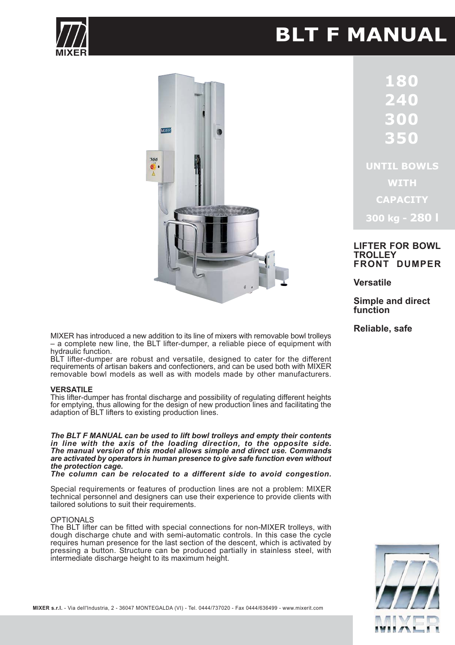# **BLT F MANUAL**





**UNTIL BOWLS WITH CAPACITY** 

300 kg - 280 l

# **LIFTER FOR BOWL TROLLEY FRONT DUMPER**

**Versatile** 

**Simple and direct** function

Reliable, safe

MIXER has introduced a new addition to its line of mixers with removable bowl trolleys - a complete new line, the BLT lifter-dumper, a reliable piece of equipment with hydraulic function.

BLT lifter-dumper are robust and versatile, designed to cater for the different requirements of artisan bakers and confectioners, and can be used both with MIXER removable bowl models as well as with models made by other manufacturers.

## **VERSATILE**

This lifter-dumper has frontal discharge and possibility of regulating different heights for emptying, thus allowing for the design of new production lines and facilitating the adaption of BLT lifters to existing production lines.

The BLT F MANUAL can be used to lift bowl trolleys and empty their contents in line with the axis of the loading direction, to the opposite side. The manual version of this model allows simple and direct use. Commands are activated by operators in human presence to give safe function even without the protection cage.

The column can be relocated to a different side to avoid congestion.

Special requirements or features of production lines are not a problem: MIXER technical personnel and designers can use their experience to provide clients with tailored solutions to suit their requirements.

# **OPTIONALS**

The BLT lifter can be fitted with special connections for non-MIXER trolleys, with dough discharge chute and with semi-automatic controls. In this case the cycle requires human presence for the last section of the descent, which is activated by pressing a button. Structure can be produced partially in stainless steel, with intermediate discharge height to its maximum height.